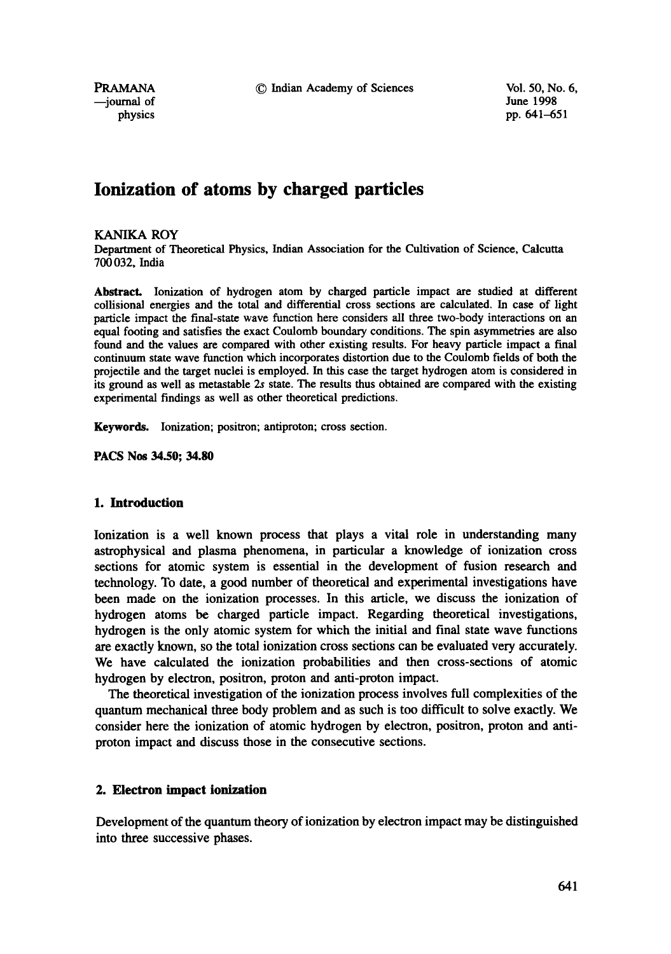PRAMANA <sup>©</sup> Indian Academy of Sciences Vol. 50, No. 6,<br>
—iournal of June 1998

--journal of June 1998

physics pp. 641-651

# **Ionization of atoms by charged particles**

## KANIKA ROY

Department of Theoretical Physics, Indian Association for the Cultivation of Science, Calcutta 700 032, India

Abstract. Ionization of hydrogen atom by charged particle impact are studied at different collisional energies and the total and differential cross sections are calculated. In case of light particle impact the final-state wave function here considers all three two-body interactions on an equal footing and satisfies the exact Coulomb boundary conditions. The spin asymmetries are also found and the values are compared with other existing results. For heavy particle impact a final continuum state wave function which incorporates distortion due to the Coulomb fields of both the projectile and the target nuclei is employed. In this case the target hydrogen atom is considered in its ground as well as metastable 2s state. The results thus obtained are compared with the existing experimental findings as well as other theoretical predictions.

Keywords. Ionization; positron; antiproton; cross section.

**PACS No6 34.50; 34.80** 

## **1. Introduction**

Ionization is a well known process that plays a vital role in understanding many astrophysical and plasma phenomena, in particular a knowledge of ionization cross sections for atomic system is essential in the development of fusion research and technology. To date, a good number of theoretical and experimental investigations have been made on the ionization processes. In this article, we discuss the ionization of hydrogen atoms be charged particle impact. Regarding theoretical investigations, hydrogen is the only atomic system for which the initial and final state wave functions are exactly known, so the total ionization cross sections can be evaluated very accurately. We have calculated the ionization probabilities and then cross-sections of atomic hydrogen by electron, positron, proton and anti-proton impact.

The theoretical investigation of the ionization process involves full complexities of the quantum mechanical three body problem and as such is too difficult to solve exactly. We consider here the ionization of atomic hydrogen by electron, positron, proton and antiproton impact and discuss those in the consecutive sections.

## **2. Electron impact ionization**

Development of the quantum theory of ionization by electron impact may be distinguished into three successive phases.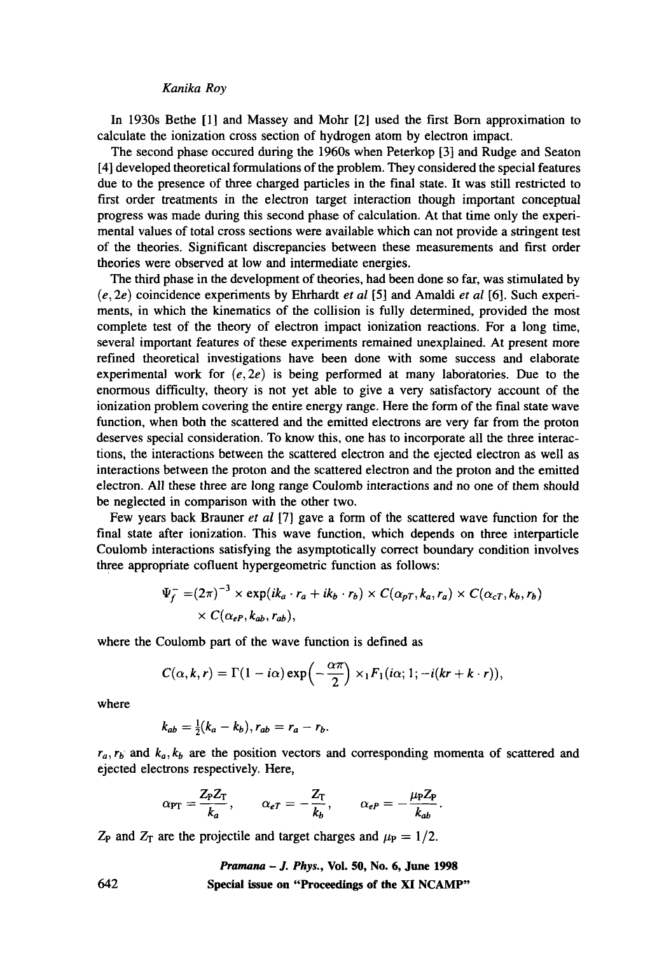In 1930s Bethe [l] and Massey and Mohr [21 used the first Born approximation to calculate the ionization cross section of hydrogen atom by electron impact.

The second phase occured during the 1960s when Peterkop [3] and Rudge and Seaton [4] developed theoretical formulations of the problem. They considered the special features due to the presence of three charged particles in the final state. It was still restricted to first order treatments in the electron target interaction though important conceptual progress was made during this second phase of calculation. At that time only the experimental values of total cross sections were available which can not provide a stringent test of the theories. Significant discrepancies between these measurements and first order theories were observed at low and intermediate energies.

The third phase in the development of theories, had been done so far, was stimulated by (e, 2e) coincidence experiments by Ehrhardt *et al* [5] and Amaldi *et al* [6]. Such experiments, in which the kinematics of the collision is fully determined, provided the most complete test of the theory of electron impact ionization reactions. For a long time, several important features of these experiments remained unexplained. At present more refined theoretical investigations have been done with some success and elaborate experimental work for  $(e, 2e)$  is being performed at many laboratories. Due to the enormous difficulty, theory is not yet able to give a very satisfactory account of the ionization problem covering the entire energy range. Here the form of the final state wave function, when both the scattered and the emitted electrons are very far from the proton deserves special consideration. To know this, one has to incorporate all the three interactions, the interactions between the scattered electron and the ejected electron as well as interactions between the proton and the scattered electron and the proton and the emitted electron. All these three are long range Coulomb interactions and no one of them should be neglected in comparison with the other two.

Few years back Brauner *et al* [7] gave a form of the scattered wave function for the final state after ionization. This wave function, which depends on three interparticle Coulomb interactions satisfying the asymptotically correct boundary condition involves three appropriate cofluent hypergeometric function as follows:

$$
\Psi_f^- = (2\pi)^{-3} \times \exp(ik_a \cdot r_a + ik_b \cdot r_b) \times C(\alpha_{pT}, k_a, r_a) \times C(\alpha_{cT}, k_b, r_b)
$$
  
 
$$
\times C(\alpha_{eP}, k_{ab}, r_{ab}),
$$

where the Coulomb part of the wave function is defined as

$$
C(\alpha, k, r) = \Gamma(1 - i\alpha) \exp\left(-\frac{\alpha \pi}{2}\right) \times {}_1F_1(i\alpha; 1; -i(kr + k \cdot r)),
$$

where

$$
k_{ab} = \frac{1}{2}(k_a - k_b), r_{ab} = r_a - r_b.
$$

*ra, rb and ka, kb are the* position vectors and corresponding momenta of scattered and ejected electrons respectively. Here,

$$
\alpha_{\text{PT}} = \frac{Z_{\text{P}} Z_{\text{T}}}{k_a}, \qquad \alpha_{eT} = -\frac{Z_{\text{T}}}{k_b}, \qquad \alpha_{eP} = -\frac{\mu_{\text{P}} Z_{\text{P}}}{k_{ab}}.
$$

 $Z_P$  and  $Z_T$  are the projectile and target charges and  $\mu_P = 1/2$ .

*Pramana - J. Phys.,* **Vol. 50, No. 6, June 1998 Special issue on "Proceedings of the XI NCAMP"** 

642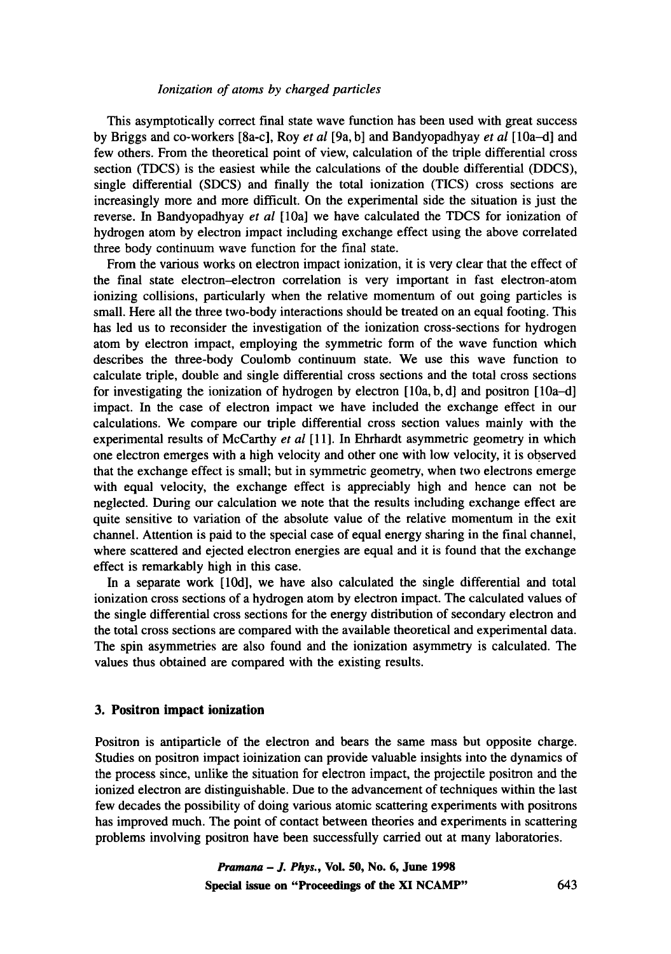This asymptotically correct final state wave function has been used with great success by Briggs and co-workers [8a-c], Roy *et al* [9a, b] and Bandyopadhyay *et al* [10a-d] and few others. From the theoretical point of view, calculation of the triple differential cross section (TDCS) is the easiest while the calculations of the double differential (DDCS), single differential (SDCS) and finally the total ionization (TICS) cross sections are increasingly more and more difficult. On the experimental side the situation is just the reverse. In Bandyopadhyay *et al* [10a] we have calculated the TDCS for ionization of hydrogen atom by electron impact including exchange effect using the above correlated three body continuum wave function for the final state.

From the various works on electron impact ionization, it is very clear that the effect of the final state electron-electron correlation is very important in fast electron-atom ionizing collisions, particularly when the relative momentum of out going particles is small. Here all the three two-body interactions should be treated on an equal footing. This has led us to reconsider the investigation of the ionization cross-sections for hydrogen atom by electron impact, employing the symmetric form of the wave function which describes the three-body Coulomb continuum state. We use this wave function to calculate triple, double and single differential cross sections and the total cross sections for investigating the ionization of hydrogen by electron  $[10a, b, d]$  and positron  $[10a-d]$ impact. In the case of electron impact we have included the exchange effect in our calculations. We compare our triple differential cross section values mainly with the experimental results of McCarthy *et al* [11]. In Ehrhardt asymmetric geometry in which one electron emerges with a high velocity and other one with low velocity, it is observed that the exchange effect is small; but in symmetric geometry, when two electrons emerge with equal velocity, the exchange effect is appreciably high and hence can not be neglected. During our calculation we note that the results including exchange effect are quite sensitive to variation of the absolute value of the relative momentum in the exit channel. Attention is paid to the special case of equal energy sharing in the final channel, where scattered and ejected electron energies are equal and it is found that the exchange effect is remarkably high in this case.

In a separate work [10d], we have also calculated the single differential and total ionization cross sections of a hydrogen atom by electron impact. The calculated values of the single differential cross sections for the energy distribution of secondary electron and the total cross sections are compared with the available theoretical and experimental data. The spin asymmetries are also found and the ionization asymmetry is calculated. The values thus obtained are compared with the existing results.

## **3. Positron impact ionization**

Positron is antiparticle of the electron and bears the same mass but opposite charge. Studies on positron impact ioinization can provide valuable insights into the dynamics of the process since, unlike the situation for electron impact, the projectile positron and the ionized electron are distinguishable. Due to the advancement of techniques within the last few decades the possibility of doing various atomic scattering experiments with positrons has improved much. The point of contact between theories and experiments in scattering problems involving positron have been successfully carried out at many laboratories.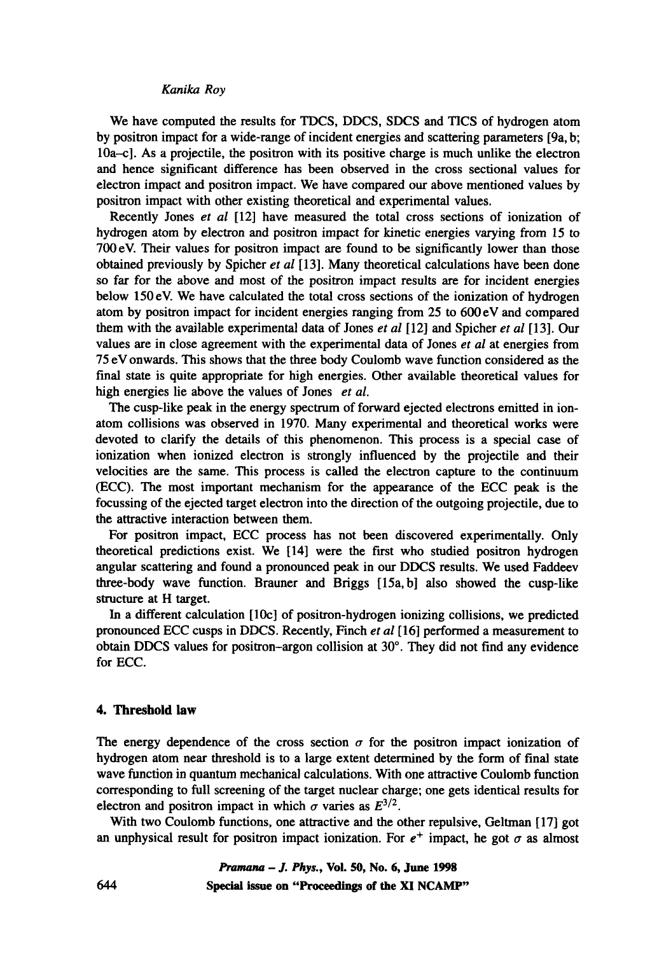We have computed the results for TDCS, DDCS, SDCS and TICS of hydrogen atom by positron impact for a wide-range of incident energies and scattering parameters [9a, b; 10a--c]. As a projectile, the positron with its positive charge is much unlike the electron and hence significant difference has been observed in the cross sectional values for electron impact and positron impact. We have compared our above mentioned values by positron impact with other existing theoretical and experimental values.

Recently Jones *et al* [12] have measured the total cross sections of ionization of hydrogen atom by electron and positron impact for kinetic energies varying from 15 to 700 eV. Their values for positron impact are found to be significantly lower than those obtained previously by Spicher *et al* [13]. Many theoretical calculations have been done so far for the above and most of the positron impact results are for incident energies below 150eV. We have calculated the total cross sections of the ionization of hydrogen atom by positron impact for incident energies ranging from 25 to 600 eV and compared them with the available experimental data of Jones *et al* [12] and Spicher *et al* [13]. Our values are in close agreement with the experimental data of Jones *et al* at energies from 75 eVonwards. This shows that the three body Coulomb wave function considered as the final state is quite appropriate for high energies. Other available theoretical values for high energies lie above the values of Jones *et al.* 

The cusp-like peak in the energy spectrum of forward ejected electrons emitted in ionatom collisions was observed in 1970. Many experimental and theoretical works were devoted to clarify the details of this phenomenon. This process is a special case of ionization when ionized electron is strongly influenced by the projectile and their velocities are the same. This process is called the electron capture to the continuum (ECC). The most important mechanism for the appearance of the ECC peak is the focussing of the ejected target electron into the direction of the outgoing projectile, due to the attractive interaction between them.

For positron impact, ECC process has not been discovered experimentally. Only theoretical predictions exist. We [14] were the first who studied positron hydrogen angular scattering and found a pronounced peak in our DDCS results. We used Faddeev three-body wave function. Brauner and Briggs [15a, b] also showed the cusp-like structure at H target.

In a different calculation [10c] of positron-hydrogen ionizing collisions, we predicted pronounced ECC cusps in DDCS. Recently, Finch *et al* [16] performed a measurement to obtain DDCS values for positron-argon collision at 30°. They did not find any evidence for ECC.

## **4. Threshold law**

The energy dependence of the cross section  $\sigma$  for the positron impact ionization of hydrogen atom near threshold is to a large extent determined by the form of final state wave function in quantum mechanical calculations. With one attractive Coulomb function corresponding to full screening of the target nuclear charge; one gets identical results for electron and positron impact in which  $\sigma$  varies as  $E^{3/2}$ .

With two Coulomb functions, one attractive and the other repulsive, Geltman [17] got an unphysical result for positron impact ionization. For  $e^+$  impact, he got  $\sigma$  as almost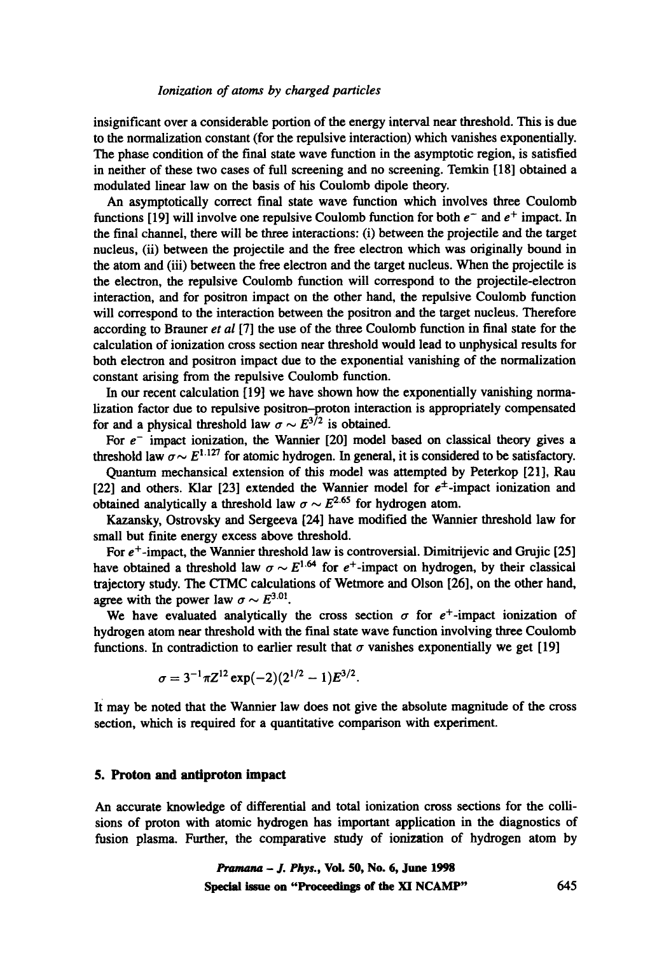insignificant over a considerable portion of the energy interval near threshold. This is due to the normalization constant (for the repulsive interaction) which vanishes exponentially. The phase condition of the final state wave function in the asymptotic region, is satisfied in neither of these two cases of full screening and no screening. Temkin [18] obtained a modulated linear law on the basis of his Coulomb dipole theory.

An asymptotically correct final state wave function which involves three Coulomb functions [19] will involve one repulsive Coulomb function for both  $e^-$  and  $e^+$  impact. In the final channel, there will be three interactions: (i) between the projectile and the target nucleus, (ii) between the projectile and the free electron which was originally bound in the atom and (iii) between the free electron and the target nucleus. When the projectile is the electron, the repulsive Coulomb function will correspond to the projectile-electron interaction, and for positron impact on the other hand, the repulsive Coulomb function will correspond to the interaction between the positron and the target nucleus. Therefore according to Brauner *et al* [7] the use of the three Coulomb function in final state for the calculation of ionization cross section near threshold would lead to unphysical results for both electron and positron impact due to the exponential vanishing of the normalization constant arising from the repulsive Coulomb function.

In our recent calculation [19] we have shown how the exponentially vanishing normalization factor due to repulsive positron-proton interaction is appropriately compensated for and a physical threshold law  $\sigma \sim E^{3/2}$  is obtained.

For  $e^-$  impact ionization, the Wannier [20] model based on classical theory gives a threshold law  $\sigma \sim E^{1.127}$  for atomic hydrogen. In general, it is considered to be satisfactory.

Quantum mechansical extension of this model was attempted by Peterkop [21], Rau [22] and others. Klar [23] extended the Wannier model for  $e^{\pm}$ -impact ionization and obtained analytically a threshold law  $\sigma \sim E^{2.65}$  for hydrogen atom.

Kazansky, Ostrovsky and Sergeeva [24] have modified the Wannier threshold law for small but finite energy excess above threshold.

For  $e^+$ -impact, the Wannier threshold law is controversial. Dimitrijevic and Grujic [25] have obtained a threshold law  $\sigma \sim E^{1.64}$  for  $e^+$ -impact on hydrogen, by their classical trajectory study. The CTMC calculations of Wetmore and Olson [26], on the other hand, agree with the power law  $\sigma \sim E^{3.01}$ .

We have evaluated analytically the cross section  $\sigma$  for  $e^+$ -impact ionization of hydrogen atom near threshold with the final state wave function involving three Coulomb functions. In contradiction to earlier result that  $\sigma$  vanishes exponentially we get [19]

$$
\sigma = 3^{-1} \pi Z^{12} \exp(-2) (2^{1/2} - 1) E^{3/2}.
$$

It may be noted that the Wannier law does not give the absolute magnitude of the cross section, which is required for a quantitative comparison with experiment.

## **5. Proton and antiproton impact**

An accurate knowledge of differential and total ionization cross sections for the collisions of proton with atomic hydrogen has important application in the diagnostics of fusion plasma. Further, the comparative study of ionization of hydrogen atom by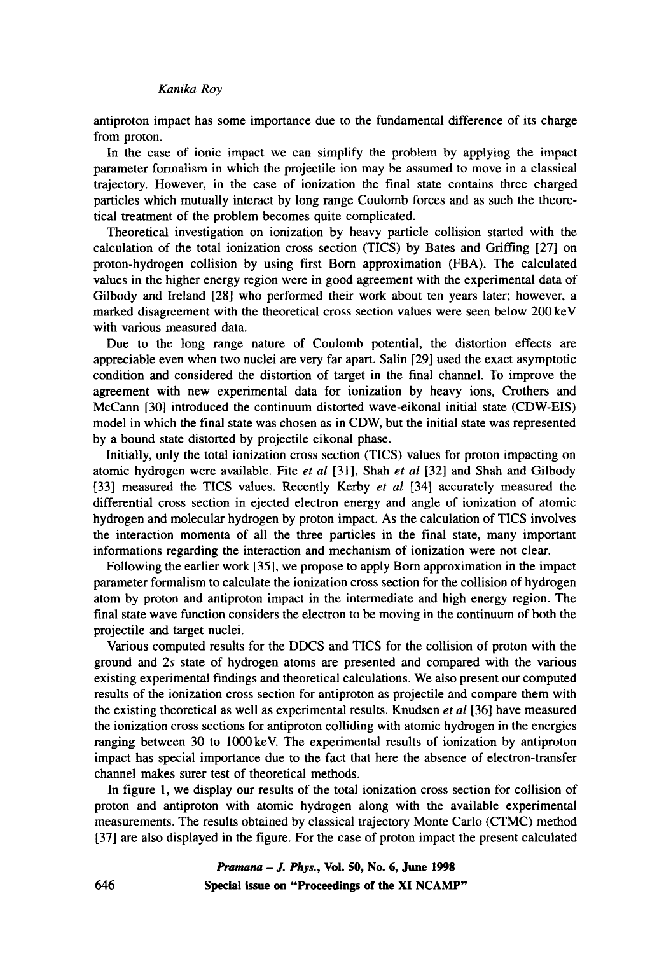antiproton impact has some importance due to the fundamental difference of its charge from proton.

In the case of ionic impact we can simplify the problem by applying the impact parameter formalism in which the projectile ion may be assumed to move in a classical trajectory. However, in the case of ionization the final state contains three charged particles which mutually interact by long range Coulomb forces and as such the theoretical treatment of the problem becomes quite complicated.

Theoretical investigation on ionization by heavy particle collision started with the calculation of the total ionization cross section (TICS) by Bates and Griffing [27] on proton-hydrogen collision by using first Born approximation (FBA). The calculated values in the higher energy region were in good agreement with the experimental data of Gilbody and Ireland [28] who performed their work about ten years later; however, a marked disagreement with the theoretical cross section values were seen below 200 keV with various measured data.

Due to the long range nature of Coulomb potential, the distortion effects are appreciable even when two nuclei are very far apart. Salin [29] used the exact asymptotic condition and considered the distortion of target in the final channel. To improve the agreement with new experimental data for ionization by heavy ions, Crothers and McCann [30] introduced the continuum distorted wave-eikonal initial state (CDW-EIS) model in which the final state was chosen as in CDW, but the initial state was represented by a bound state distorted by projectile eikonal phase.

Initially, only the total ionization cross section (TICS) values for proton impacting on atomic hydrogen were available. Fite *et al* [31], Shah *et al* [32] and Shah and Gilbody [33] measured the TICS values. Recently Kerby *et al* [34] accurately measured the differential cross section in ejected electron energy and angle of ionization of atomic hydrogen and molecular hydrogen by proton impact. As the calculation of TICS involves the interaction momenta of all the three particles in the final state, many important informations regarding the interaction and mechanism of ionization were not clear.

Following the earlier work [35], we propose to apply Born approximation in the impact parameter formalism to calculate the ionization cross section for the collision of hydrogen atom by proton and antiproton impact in the intermediate and high energy region. The final state wave function considers the electron to be moving in the continuum of both the projectile and target nuclei.

Various computed results for the DDCS and TICS for the collision of proton with the ground and 2s state of hydrogen atoms are presented and compared with the various existing experimental findings and theoretical calculations. We also present our computed results of the ionization cross section for antiproton as projectile and compare them with the existing theoretical as well as experimental results. Knudsen *et al* [36] have measured the ionization cross sections for antiproton colliding with atomic hydrogen in the energies ranging between 30 to 1000 keV. The experimental results of ionization by antiproton imPact has special importance due to the fact that here the absence of electron-transfer channel makes surer test of theoretical methods.

In figure 1, we display our results of the total ionization cross section for collision of proton and antiproton with atomic hydrogen along with the available experimental measurements. The results obtained by classical trajectory Monte Carlo (CTMC) method [37] are also displayed in the figure. For the case of proton impact the present calculated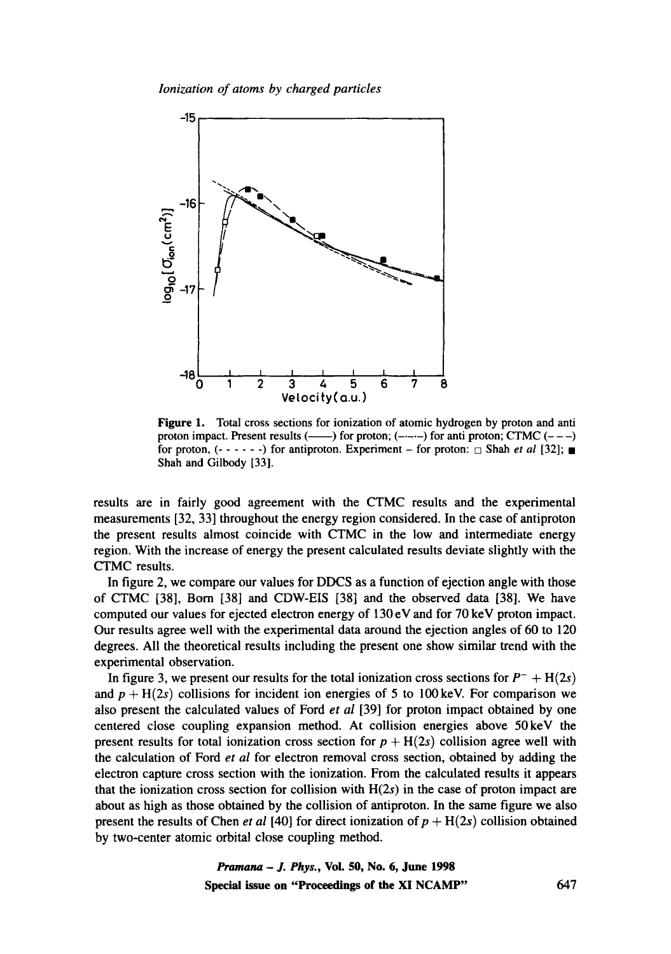

Figure 1. Total cross sections for ionization of atomic hydrogen by proton and anti proton impact. Present results  $($ ——) for proton;  $($ ----) for anti proton; CTMC  $($ ---) for proton,  $(- - - - -)$  for antiproton. Experiment - for proton:  $\Box$  Shah *et al* [32]; Shah and Gilbody [33].

results are in fairly good agreement with the CTMC results and the experimental measurements [32, 33] throughout the energy region considered. In the case of antiproton the present results almost coincide with CTMC in the low and intermediate energy region. With the increase of energy the present calculated results deviate slightly with the CTMC results.

In figure 2, we compare our values for DDCS as a function of ejection angle with those of CTMC [38], Born [38] and CDW-EIS [38] and the observed data [38]. We have computed our values for ejected electron energy of 130 eV and for 70 keV proton impact. Our results agree well with the experimental data around the ejection angles of 60 to 120 degrees. All the theoretical results including the present one show similar trend with the experimental observation.

In figure 3, we present our results for the total ionization cross sections for  $P^+ + H(2s)$ and  $p + H(2s)$  collisions for incident ion energies of 5 to 100 keV. For comparison we also present the calculated values of Ford *et al* [39] for proton impact obtained by **one**  centered close coupling expansion method. At collision energies above 50keV the present results for total ionization cross section for  $p + H(2s)$  collision agree well with the calculation of Ford *et al* for electron removal cross section, obtained by adding the electron capture cross section with the ionization. From the calculated results it appears that the ionization cross section for collision with  $H(2s)$  in the case of proton impact are about as high as those obtained by the collision of antiproton. In the same figure we also present the results of Chen *et al* [40] for direct ionization of  $p + H(2s)$  collision obtained by two-center atomic orbital close coupling method.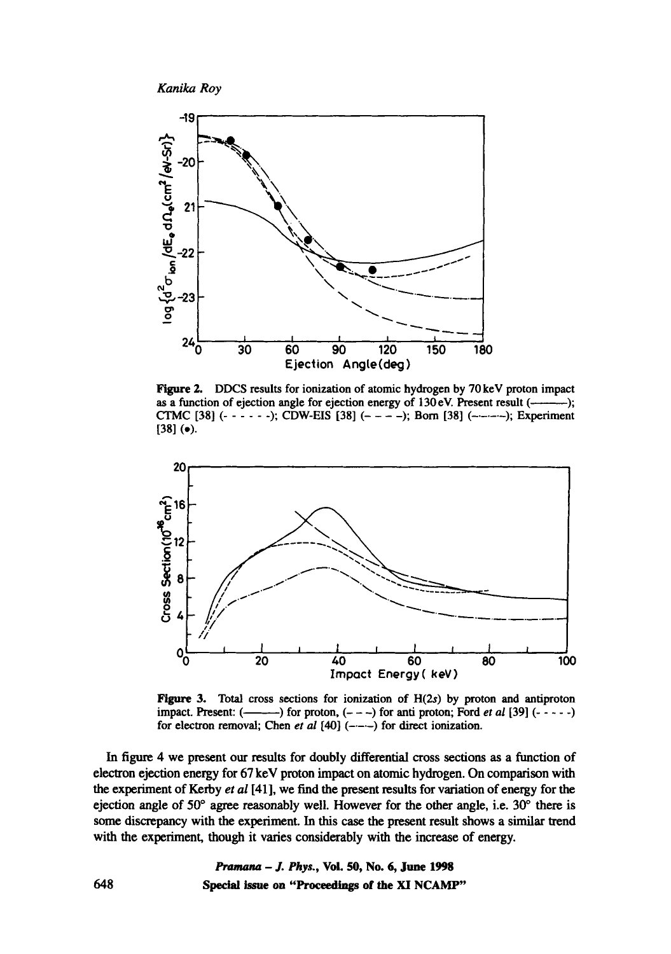



Figure 2. DDCS results for ionization of atomic hydrogen by 70 keV proton impact as a function of ejection angle for ejection energy of  $130 \text{ eV}$ . Present result (---------); CTMC [38]  $(- - - - -)$ ; CDW-EIS [38]  $(- - - -)$ ; Born [38]  $(- - -)$ ; Experiment  $[38]$   $(•)$ .



Figure 3. Total cross sections for ionization of H(2s) by proton and antiproton impact. Present: ( ) for proton, (- - -) for anti proton; Ford *et al* [39] ( ..... ) for electron removal; Chen *et al*  $[40]$  ( $---$ ) for direct ionization.

In figure 4 we present our results for doubly differential cross sections as a function of electron ejection energy for 67 keV proton impact on atomic hydrogen. On comparison with the experiment of Kerby *et al* [41], we find the present results for variation of energy for the ejection angle of  $50^{\circ}$  agree reasonably well. However for the other angle, i.e.  $30^{\circ}$  there is some discrepancy with the experiment. In this case the present result shows a similar trend with the experiment, though it varies considerably with the increase of energy.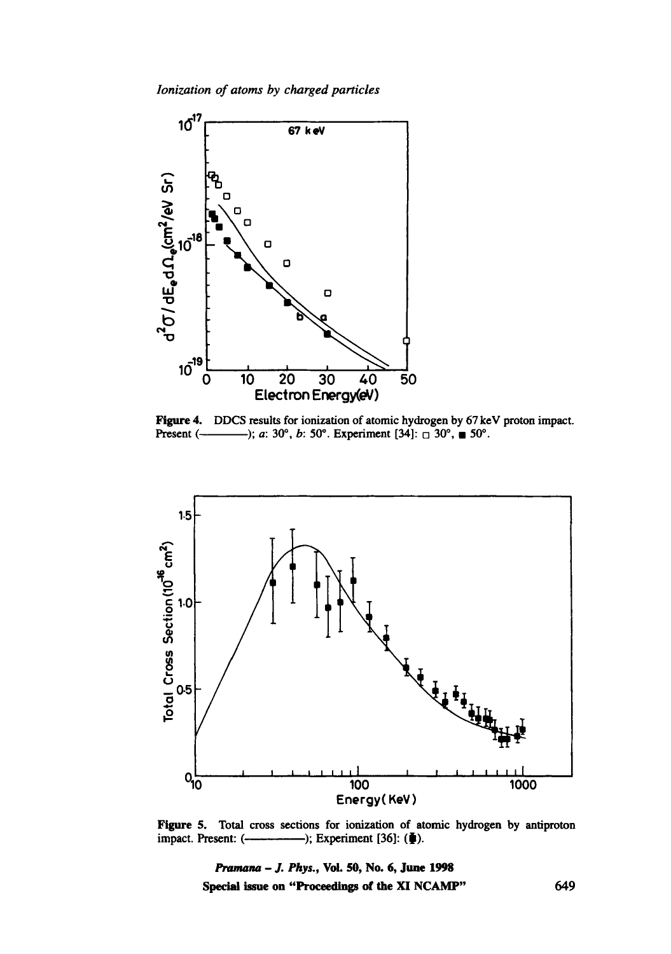*Ionization of atoms by charged particles* 



Figure 4. DDCS results for ionization of atomic hydrogen by 67 keV proton impact. Present (  $-$ ); a: 30°, b: 50°. Experiment [34]:  $□$  30°, ■ 50°.



Figure **5.**  Total cross sections for ionization of atomic hydrogen by antiproton impact. Present: (-(b); Experiment [36]: (b).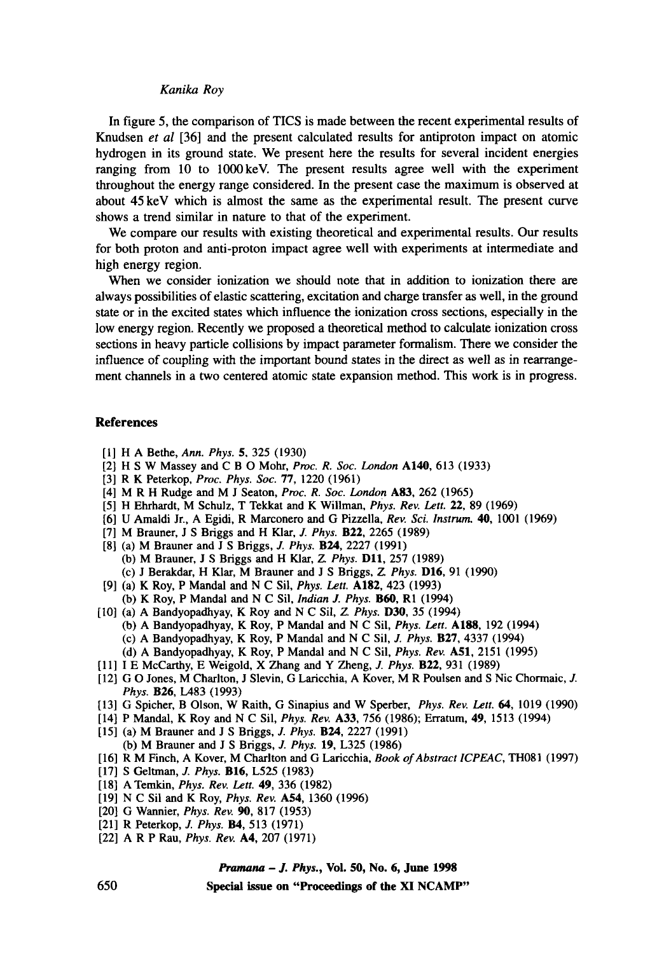In figure 5, the comparison of TICS is made between the recent experimental results of Knudsen *et al* [36] and the present calculated results for antiproton impact on atomic hydrogen in its ground state. We present here the results for several incident energies ranging from 10 to 1000keV. The present results agree well with the experiment throughout the energy range considered. In the present case the maximum is observed at about 45 keV which is almost the same as the experimental result. The present curve shows a trend similar in nature to that of the experiment.

We compare our results with existing theoretical and experimental results. Our results for both proton and anti-proton impact agree well with experiments at intermediate and high energy region.

When we consider ionization we should note that in addition to ionization there are always possibilities of elastic scattering, excitation and charge transfer as well, in the ground state or in the excited states which influence the ionization cross sections, especially in the low energy region. Recently we proposed a theoretical method to calculate ionization cross sections in heavy particle collisions by impact parameter formalism. There we consider the influence of coupling with the important bound states in the direct as well as in rearrangement channels in a two centered atomic state expansion method. This work is in progress.

#### **References**

- [1] H A Bethe, *Ann. Phys.* 5. 325 (1930)
- [2] H S W Massey and C B O Mohr, *Proc. R. Soc. London* AI40, 613 (1933)
- [3] R K Peterkop, *Proc. Phys. Soc.* 77, 1220 (1961)
- [4] M R H Rudge and M J Seaton, *Proc. R. Soc. London* A83, 262 (1965)
- [5] H Ehrhardt, M Schulz, T Tekkat and K Wiilman, *Phys. Rev. Lett.* 22, 89 (1969)
- [6] U Amaldi Jr., A Egidi, R Marconero and G Pizzella, *Rev. Sci. lnstrum. 40,* 1001 (1969)
- [7] M Brauner, J S Briggs and *H Klar, J. Phys.* B22, 2265 (1989)
- [8] (a) M Brauner and J S Briggs, *J. Phys.* B24, 2227 (1991) (b) M Brauner, J S Briggs and H Klar, Z. *Phys.* DI1, 257 (1989) (c) J Berakdar, H Klar, M Brauner and J S Briggs, *Z, Phys.* D16, 91 (1990)
- [9] (a) K Roy, P Mandal and N C Sil, *Phys. Lett.* A182, 423 (1993)
	- (b) K Roy, P Mandal and N C Sil, *Indian J. Phys.* B60, R1 (1994)
- [10] (a) A Bandyopadhyay, K Roy and N C Sil, Z *Phys.* D30, 35 (1994) (b) A Bandyopadhyay, K Roy, P Mandal and N C Sil, *Phys. Lett.* A188, 192 (1994) (c) A Bandyopadhyay, K Roy, P Mandal and N C Sil, *J. Phys.* B27, 4337 (1994) (d) A Bandyopadhyay, K Roy, P Mandal and N C Sil, *Phys. Rev.* AS1, 2151 (1995)
- [11] I E McCarthy, E Weigold, X Zhang and Y Zheng, J. *Phys.* B22, 931 (1989)
- [12] G O Jones, M Charlton, J Slevin, G Laricchia, A Kover, M R Poulsen and S Nic Chormaic, J. *Phys.* B26, L483 (1993)
- [13] G Spicher, B Olson, WRaith, G Sinapius and W Sperber, *Phys. Rev. Lett. 64,* 1019 (1990)
- [14] P Mandal, K Roy and N C Sil, *Phys. Rev.* A33, 756 (1986); Erratum, 49, 1513 (1994)
- [15] (a) M Brauner and J S Briggs, *J. Phys.* B24, 2227 (1991) (b) M Brauner and J S Briggs, *J. Phys.* 19, L325 (1986)
- [16] R M Finch, A Kover, M Charlton and G Laricehia, *Book of Abstract ICPEAC,* TH081 (1997)
- [17] S Geltman, *J. Phys.* BI6, L525 (1983)
- [18] A Temkin, *Phys. Rev. Len.* 49, 336 (1982)
- [19] N C Sil and K Roy, *Phys. Rev.* A54, 1360 (1996)
- [20] G Wannier, *Phys. Rev. 90,* 817 (1953)
- [21] R Peterkop, *J. Phys.* B4, 513 (1971)
- [22] A R P Ran, *Phys. Rev.* A4, 207 (1971)

*Pramana - J. Phys.,* **Vol. 50, No. 6, June 1998** 

**Special issue on "Proceedings of the XI NCAMP"**